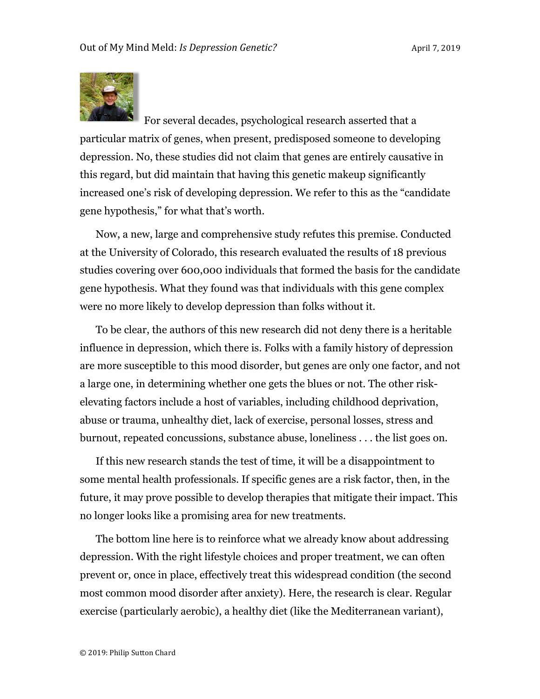

For several decades, psychological research asserted that a particular matrix of genes, when present, predisposed someone to developing depression. No, these studies did not claim that genes are entirely causative in this regard, but did maintain that having this genetic makeup significantly increased one's risk of developing depression. We refer to this as the "candidate gene hypothesis," for what that's worth.

Now, a new, large and comprehensive study refutes this premise. Conducted at the University of Colorado, this research evaluated the results of 18 previous studies covering over 600,000 individuals that formed the basis for the candidate gene hypothesis. What they found was that individuals with this gene complex were no more likely to develop depression than folks without it.

To be clear, the authors of this new research did not deny there is a heritable influence in depression, which there is. Folks with a family history of depression are more susceptible to this mood disorder, but genes are only one factor, and not a large one, in determining whether one gets the blues or not. The other riskelevating factors include a host of variables, including childhood deprivation, abuse or trauma, unhealthy diet, lack of exercise, personal losses, stress and burnout, repeated concussions, substance abuse, loneliness . . . the list goes on.

If this new research stands the test of time, it will be a disappointment to some mental health professionals. If specific genes are a risk factor, then, in the future, it may prove possible to develop therapies that mitigate their impact. This no longer looks like a promising area for new treatments.

The bottom line here is to reinforce what we already know about addressing depression. With the right lifestyle choices and proper treatment, we can often prevent or, once in place, effectively treat this widespread condition (the second most common mood disorder after anxiety). Here, the research is clear. Regular exercise (particularly aerobic), a healthy diet (like the Mediterranean variant),